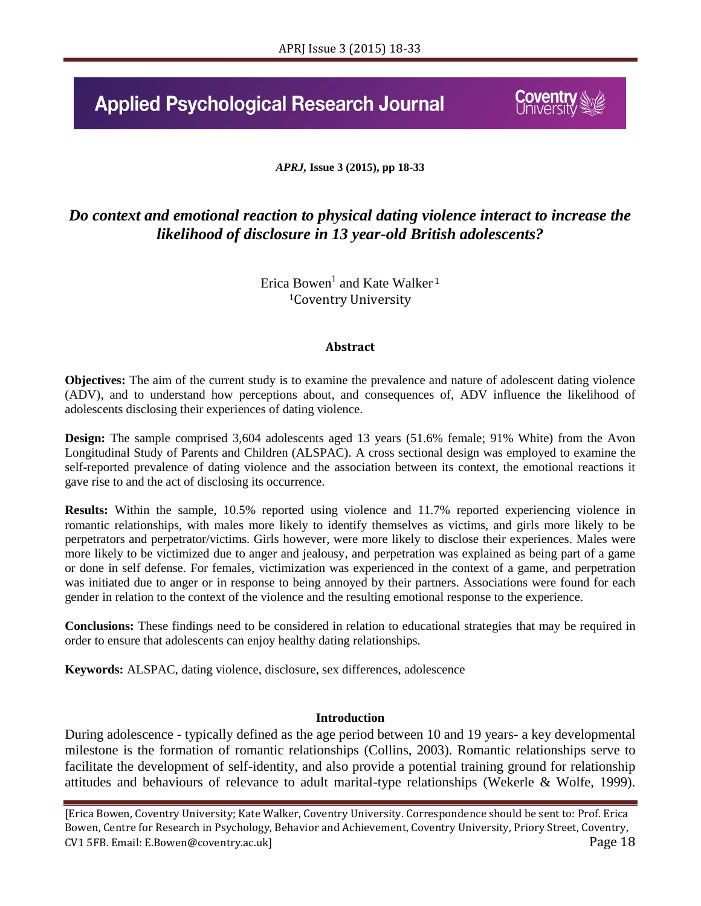# **Applied Psychological Research Journal**

*APRJ,* **Issue 3 (2015), pp 18-33**

# *Do context and emotional reaction to physical dating violence interact to increase the likelihood of disclosure in 13 year-old British adolescents?*

Erica Bowen<sup>1</sup> and Kate Walker<sup>1</sup> <sup>1</sup>Coventry University

#### **Abstract**

**Objectives:** The aim of the current study is to examine the prevalence and nature of adolescent dating violence (ADV), and to understand how perceptions about, and consequences of, ADV influence the likelihood of adolescents disclosing their experiences of dating violence.

**Design:** The sample comprised 3,604 adolescents aged 13 years (51.6% female; 91% White) from the Avon Longitudinal Study of Parents and Children (ALSPAC). A cross sectional design was employed to examine the self-reported prevalence of dating violence and the association between its context, the emotional reactions it gave rise to and the act of disclosing its occurrence.

**Results:** Within the sample, 10.5% reported using violence and 11.7% reported experiencing violence in romantic relationships, with males more likely to identify themselves as victims, and girls more likely to be perpetrators and perpetrator/victims. Girls however, were more likely to disclose their experiences. Males were more likely to be victimized due to anger and jealousy, and perpetration was explained as being part of a game or done in self defense. For females, victimization was experienced in the context of a game, and perpetration was initiated due to anger or in response to being annoyed by their partners. Associations were found for each gender in relation to the context of the violence and the resulting emotional response to the experience.

**Conclusions:** These findings need to be considered in relation to educational strategies that may be required in order to ensure that adolescents can enjoy healthy dating relationships.

**Keywords:** ALSPAC, dating violence, disclosure, sex differences, adolescence

#### **Introduction**

During adolescence - typically defined as the age period between 10 and 19 years- a key developmental milestone is the formation of romantic relationships (Collins, 2003). Romantic relationships serve to facilitate the development of self-identity, and also provide a potential training ground for relationship attitudes and behaviours of relevance to adult marital-type relationships (Wekerle & Wolfe, 1999).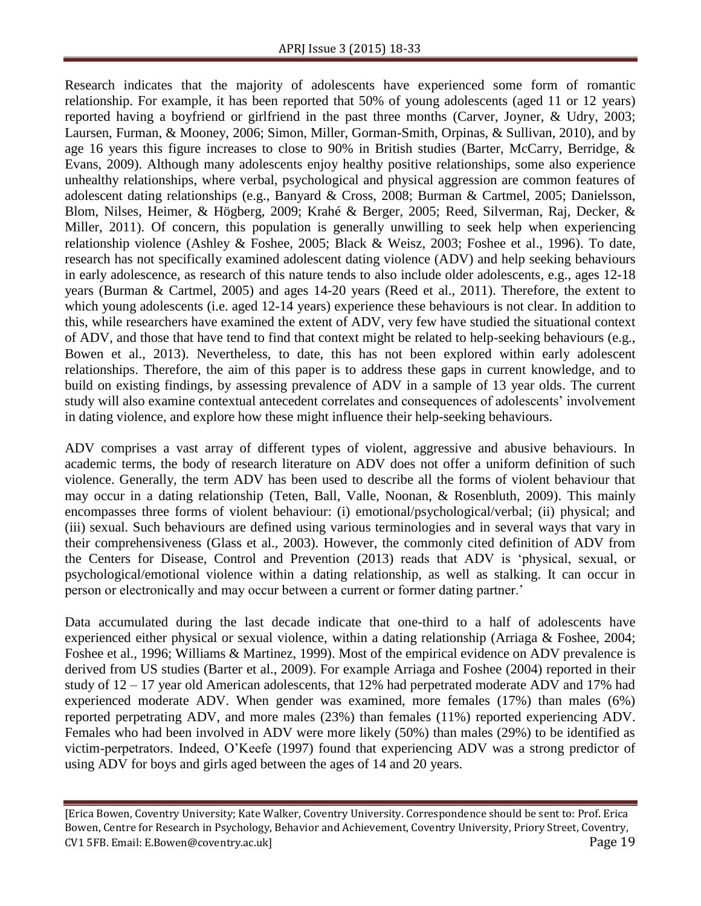Research indicates that the majority of adolescents have experienced some form of romantic relationship. For example, it has been reported that 50% of young adolescents (aged 11 or 12 years) reported having a boyfriend or girlfriend in the past three months (Carver, Joyner, & Udry, 2003; Laursen, Furman, & Mooney, 2006; Simon, Miller, Gorman-Smith, Orpinas, & Sullivan, 2010), and by age 16 years this figure increases to close to 90% in British studies (Barter, McCarry, Berridge, & Evans, 2009). Although many adolescents enjoy healthy positive relationships, some also experience unhealthy relationships, where verbal, psychological and physical aggression are common features of adolescent dating relationships (e.g., Banyard & Cross, 2008; Burman & Cartmel, 2005; Danielsson, Blom, Nilses, Heimer, & Högberg, 2009; Krahé & Berger, 2005; Reed, Silverman, Raj, Decker, & Miller, 2011). Of concern, this population is generally unwilling to seek help when experiencing relationship violence (Ashley & Foshee, 2005; Black & Weisz, 2003; Foshee et al., 1996). To date, research has not specifically examined adolescent dating violence (ADV) and help seeking behaviours in early adolescence, as research of this nature tends to also include older adolescents, e.g., ages 12-18 years (Burman & Cartmel, 2005) and ages 14-20 years (Reed et al., 2011). Therefore, the extent to which young adolescents (i.e. aged 12-14 years) experience these behaviours is not clear. In addition to this, while researchers have examined the extent of ADV, very few have studied the situational context of ADV, and those that have tend to find that context might be related to help-seeking behaviours (e.g., Bowen et al., 2013). Nevertheless, to date, this has not been explored within early adolescent relationships. Therefore, the aim of this paper is to address these gaps in current knowledge, and to build on existing findings, by assessing prevalence of ADV in a sample of 13 year olds. The current study will also examine contextual antecedent correlates and consequences of adolescents' involvement in dating violence, and explore how these might influence their help-seeking behaviours.

ADV comprises a vast array of different types of violent, aggressive and abusive behaviours. In academic terms, the body of research literature on ADV does not offer a uniform definition of such violence. Generally, the term ADV has been used to describe all the forms of violent behaviour that may occur in a dating relationship (Teten, Ball, Valle, Noonan, & Rosenbluth, 2009). This mainly encompasses three forms of violent behaviour: (i) emotional/psychological/verbal; (ii) physical; and (iii) sexual. Such behaviours are defined using various terminologies and in several ways that vary in their comprehensiveness (Glass et al., 2003). However, the commonly cited definition of ADV from the Centers for Disease, Control and Prevention (2013) reads that ADV is 'physical, sexual, or psychological/emotional violence within a dating relationship, as well as stalking. It can occur in person or electronically and may occur between a current or former dating partner.'

Data accumulated during the last decade indicate that one-third to a half of adolescents have experienced either physical or sexual violence, within a dating relationship (Arriaga & Foshee, 2004; Foshee et al., 1996; Williams & Martinez, 1999). Most of the empirical evidence on ADV prevalence is derived from US studies (Barter et al., 2009). For example Arriaga and Foshee (2004) reported in their study of 12 – 17 year old American adolescents, that 12% had perpetrated moderate ADV and 17% had experienced moderate ADV. When gender was examined, more females (17%) than males (6%) reported perpetrating ADV, and more males (23%) than females (11%) reported experiencing ADV. Females who had been involved in ADV were more likely (50%) than males (29%) to be identified as victim-perpetrators. Indeed, O'Keefe (1997) found that experiencing ADV was a strong predictor of using ADV for boys and girls aged between the ages of 14 and 20 years.

<sup>[</sup>Erica Bowen, Coventry University; Kate Walker, Coventry University. Correspondence should be sent to: Prof. Erica Bowen, Centre for Research in Psychology, Behavior and Achievement, Coventry University, Priory Street, Coventry, CV1 5FB. Email: E.Bowen@coventry.ac.uk] Page 19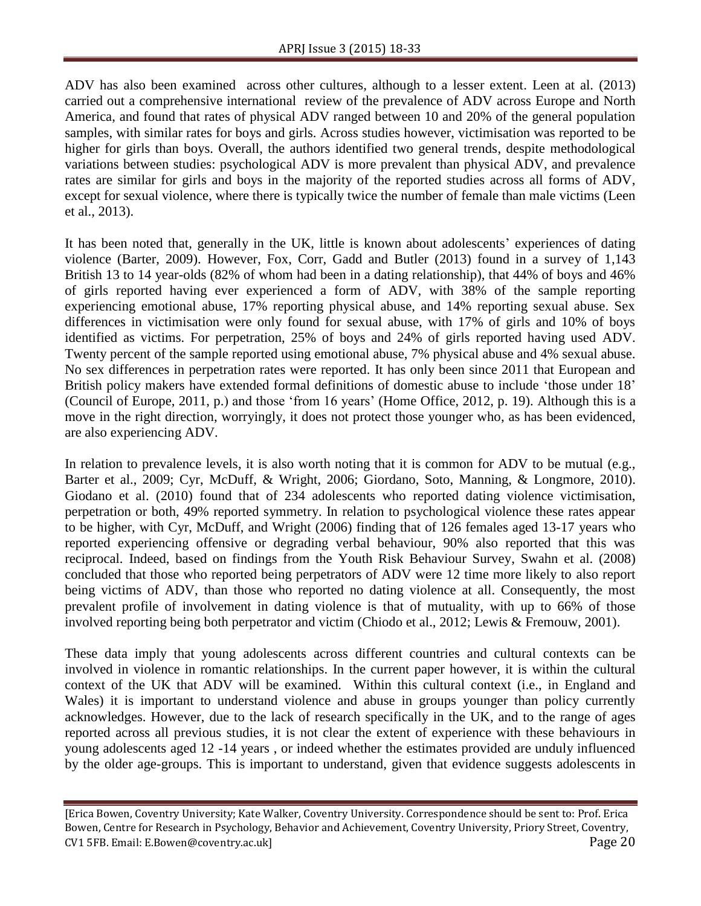ADV has also been examined across other cultures, although to a lesser extent. Leen at al. (2013) carried out a comprehensive international review of the prevalence of ADV across Europe and North America, and found that rates of physical ADV ranged between 10 and 20% of the general population samples, with similar rates for boys and girls. Across studies however, victimisation was reported to be higher for girls than boys. Overall, the authors identified two general trends, despite methodological variations between studies: psychological ADV is more prevalent than physical ADV, and prevalence rates are similar for girls and boys in the majority of the reported studies across all forms of ADV, except for sexual violence, where there is typically twice the number of female than male victims (Leen et al., 2013).

It has been noted that, generally in the UK, little is known about adolescents' experiences of dating violence (Barter, 2009). However, Fox, Corr, Gadd and Butler (2013) found in a survey of 1,143 British 13 to 14 year-olds (82% of whom had been in a dating relationship), that 44% of boys and 46% of girls reported having ever experienced a form of ADV, with 38% of the sample reporting experiencing emotional abuse, 17% reporting physical abuse, and 14% reporting sexual abuse. Sex differences in victimisation were only found for sexual abuse, with 17% of girls and 10% of boys identified as victims. For perpetration, 25% of boys and 24% of girls reported having used ADV. Twenty percent of the sample reported using emotional abuse, 7% physical abuse and 4% sexual abuse. No sex differences in perpetration rates were reported. It has only been since 2011 that European and British policy makers have extended formal definitions of domestic abuse to include 'those under 18' (Council of Europe, 2011, p.) and those 'from 16 years' (Home Office, 2012, p. 19). Although this is a move in the right direction, worryingly, it does not protect those younger who, as has been evidenced, are also experiencing ADV.

In relation to prevalence levels, it is also worth noting that it is common for ADV to be mutual (e.g., Barter et al., 2009; Cyr, McDuff, & Wright, 2006; Giordano, Soto, Manning, & Longmore, 2010). Giodano et al. (2010) found that of 234 adolescents who reported dating violence victimisation, perpetration or both, 49% reported symmetry. In relation to psychological violence these rates appear to be higher, with Cyr, McDuff, and Wright (2006) finding that of 126 females aged 13-17 years who reported experiencing offensive or degrading verbal behaviour, 90% also reported that this was reciprocal. Indeed, based on findings from the Youth Risk Behaviour Survey, Swahn et al. (2008) concluded that those who reported being perpetrators of ADV were 12 time more likely to also report being victims of ADV, than those who reported no dating violence at all. Consequently, the most prevalent profile of involvement in dating violence is that of mutuality, with up to 66% of those involved reporting being both perpetrator and victim (Chiodo et al., 2012; Lewis & Fremouw, 2001).

These data imply that young adolescents across different countries and cultural contexts can be involved in violence in romantic relationships. In the current paper however, it is within the cultural context of the UK that ADV will be examined. Within this cultural context (i.e., in England and Wales) it is important to understand violence and abuse in groups younger than policy currently acknowledges. However, due to the lack of research specifically in the UK, and to the range of ages reported across all previous studies, it is not clear the extent of experience with these behaviours in young adolescents aged 12 -14 years , or indeed whether the estimates provided are unduly influenced by the older age-groups. This is important to understand, given that evidence suggests adolescents in

<sup>[</sup>Erica Bowen, Coventry University; Kate Walker, Coventry University. Correspondence should be sent to: Prof. Erica Bowen, Centre for Research in Psychology, Behavior and Achievement, Coventry University, Priory Street, Coventry, CV1 5FB. Email: E.Bowen@coventry.ac.uk] Page 20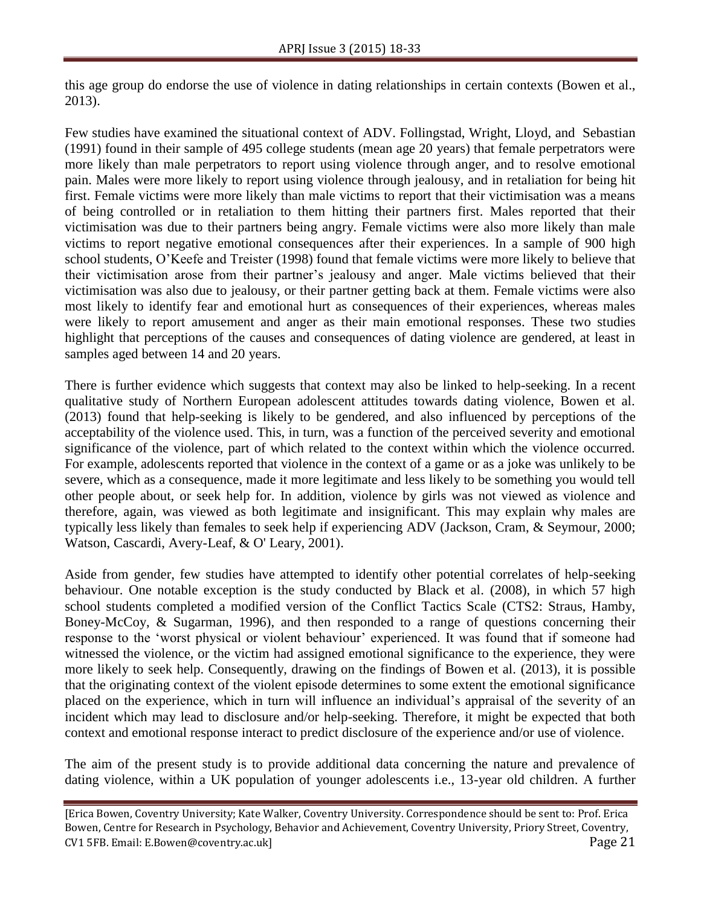this age group do endorse the use of violence in dating relationships in certain contexts (Bowen et al., 2013).

Few studies have examined the situational context of ADV. Follingstad, Wright, Lloyd, and Sebastian (1991) found in their sample of 495 college students (mean age 20 years) that female perpetrators were more likely than male perpetrators to report using violence through anger, and to resolve emotional pain. Males were more likely to report using violence through jealousy, and in retaliation for being hit first. Female victims were more likely than male victims to report that their victimisation was a means of being controlled or in retaliation to them hitting their partners first. Males reported that their victimisation was due to their partners being angry. Female victims were also more likely than male victims to report negative emotional consequences after their experiences. In a sample of 900 high school students, O'Keefe and Treister (1998) found that female victims were more likely to believe that their victimisation arose from their partner's jealousy and anger. Male victims believed that their victimisation was also due to jealousy, or their partner getting back at them. Female victims were also most likely to identify fear and emotional hurt as consequences of their experiences, whereas males were likely to report amusement and anger as their main emotional responses. These two studies highlight that perceptions of the causes and consequences of dating violence are gendered, at least in samples aged between 14 and 20 years.

There is further evidence which suggests that context may also be linked to help-seeking. In a recent qualitative study of Northern European adolescent attitudes towards dating violence, Bowen et al. (2013) found that help-seeking is likely to be gendered, and also influenced by perceptions of the acceptability of the violence used. This, in turn, was a function of the perceived severity and emotional significance of the violence, part of which related to the context within which the violence occurred. For example, adolescents reported that violence in the context of a game or as a joke was unlikely to be severe, which as a consequence, made it more legitimate and less likely to be something you would tell other people about, or seek help for. In addition, violence by girls was not viewed as violence and therefore, again, was viewed as both legitimate and insignificant. This may explain why males are typically less likely than females to seek help if experiencing ADV (Jackson, Cram, & Seymour, 2000; Watson, Cascardi, Avery-Leaf, & O' Leary, 2001).

Aside from gender, few studies have attempted to identify other potential correlates of help-seeking behaviour. One notable exception is the study conducted by Black et al. (2008), in which 57 high school students completed a modified version of the Conflict Tactics Scale (CTS2: Straus, Hamby, Boney-McCoy, & Sugarman, 1996), and then responded to a range of questions concerning their response to the 'worst physical or violent behaviour' experienced. It was found that if someone had witnessed the violence, or the victim had assigned emotional significance to the experience, they were more likely to seek help. Consequently, drawing on the findings of Bowen et al. (2013), it is possible that the originating context of the violent episode determines to some extent the emotional significance placed on the experience, which in turn will influence an individual's appraisal of the severity of an incident which may lead to disclosure and/or help-seeking. Therefore, it might be expected that both context and emotional response interact to predict disclosure of the experience and/or use of violence.

The aim of the present study is to provide additional data concerning the nature and prevalence of dating violence, within a UK population of younger adolescents i.e., 13-year old children. A further

<sup>[</sup>Erica Bowen, Coventry University; Kate Walker, Coventry University. Correspondence should be sent to: Prof. Erica Bowen, Centre for Research in Psychology, Behavior and Achievement, Coventry University, Priory Street, Coventry, CV1 5FB. Email: E.Bowen@coventry.ac.uk] Page 21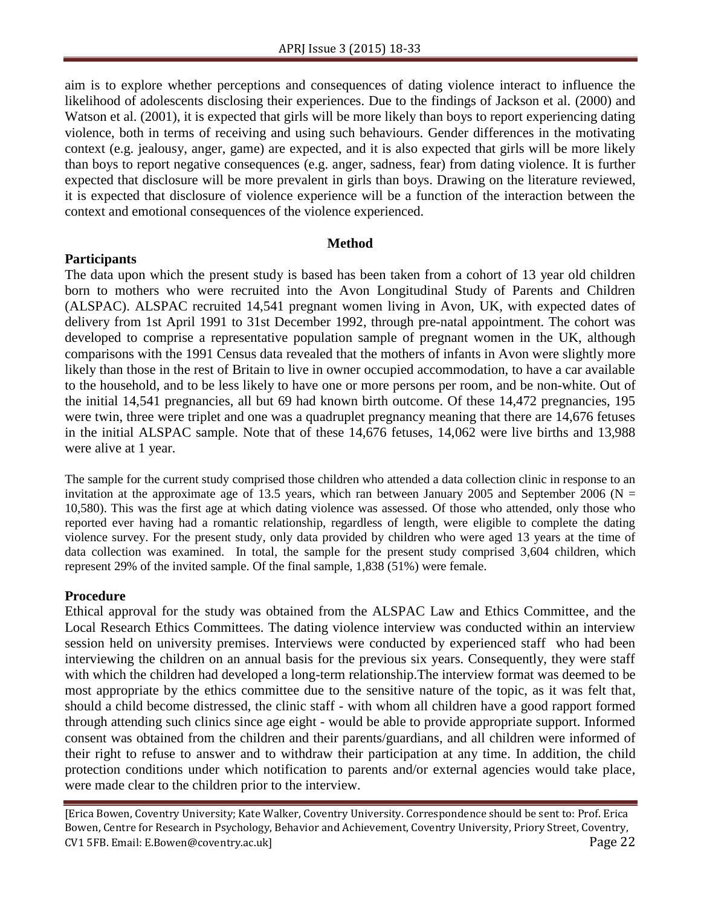aim is to explore whether perceptions and consequences of dating violence interact to influence the likelihood of adolescents disclosing their experiences. Due to the findings of Jackson et al. (2000) and Watson et al. (2001), it is expected that girls will be more likely than boys to report experiencing dating violence, both in terms of receiving and using such behaviours. Gender differences in the motivating context (e.g. jealousy, anger, game) are expected, and it is also expected that girls will be more likely than boys to report negative consequences (e.g. anger, sadness, fear) from dating violence. It is further expected that disclosure will be more prevalent in girls than boys. Drawing on the literature reviewed, it is expected that disclosure of violence experience will be a function of the interaction between the context and emotional consequences of the violence experienced.

#### **Method**

#### **Participants**

The data upon which the present study is based has been taken from a cohort of 13 year old children born to mothers who were recruited into the Avon Longitudinal Study of Parents and Children (ALSPAC). ALSPAC recruited 14,541 pregnant women living in Avon, UK, with expected dates of delivery from 1st April 1991 to 31st December 1992, through pre-natal appointment. The cohort was developed to comprise a representative population sample of pregnant women in the UK, although comparisons with the 1991 Census data revealed that the mothers of infants in Avon were slightly more likely than those in the rest of Britain to live in owner occupied accommodation, to have a car available to the household, and to be less likely to have one or more persons per room, and be non-white. Out of the initial 14,541 pregnancies, all but 69 had known birth outcome. Of these 14,472 pregnancies, 195 were twin, three were triplet and one was a quadruplet pregnancy meaning that there are 14,676 fetuses in the initial ALSPAC sample. Note that of these 14,676 fetuses, 14,062 were live births and 13,988 were alive at 1 year.

The sample for the current study comprised those children who attended a data collection clinic in response to an invitation at the approximate age of 13.5 years, which ran between January 2005 and September 2006 (N  $=$ 10,580). This was the first age at which dating violence was assessed. Of those who attended, only those who reported ever having had a romantic relationship, regardless of length, were eligible to complete the dating violence survey. For the present study, only data provided by children who were aged 13 years at the time of data collection was examined. In total, the sample for the present study comprised 3,604 children, which represent 29% of the invited sample. Of the final sample, 1,838 (51%) were female.

#### **Procedure**

Ethical approval for the study was obtained from the ALSPAC Law and Ethics Committee, and the Local Research Ethics Committees. The dating violence interview was conducted within an interview session held on university premises. Interviews were conducted by experienced staff who had been interviewing the children on an annual basis for the previous six years. Consequently, they were staff with which the children had developed a long-term relationship.The interview format was deemed to be most appropriate by the ethics committee due to the sensitive nature of the topic, as it was felt that, should a child become distressed, the clinic staff - with whom all children have a good rapport formed through attending such clinics since age eight - would be able to provide appropriate support. Informed consent was obtained from the children and their parents/guardians, and all children were informed of their right to refuse to answer and to withdraw their participation at any time. In addition, the child protection conditions under which notification to parents and/or external agencies would take place, were made clear to the children prior to the interview.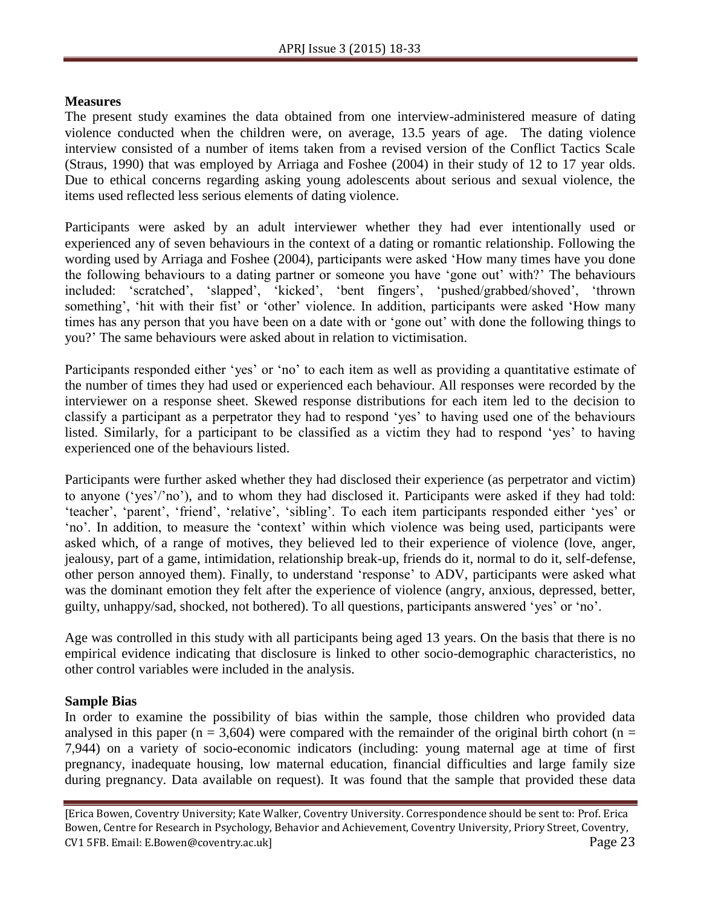# **Measures**

The present study examines the data obtained from one interview-administered measure of dating violence conducted when the children were, on average, 13.5 years of age. The dating violence interview consisted of a number of items taken from a revised version of the Conflict Tactics Scale (Straus, 1990) that was employed by Arriaga and Foshee (2004) in their study of 12 to 17 year olds. Due to ethical concerns regarding asking young adolescents about serious and sexual violence, the items used reflected less serious elements of dating violence.

Participants were asked by an adult interviewer whether they had ever intentionally used or experienced any of seven behaviours in the context of a dating or romantic relationship. Following the wording used by Arriaga and Foshee (2004), participants were asked 'How many times have you done the following behaviours to a dating partner or someone you have 'gone out' with?' The behaviours included: 'scratched', 'slapped', 'kicked', 'bent fingers', 'pushed/grabbed/shoved', 'thrown something', 'hit with their fist' or 'other' violence. In addition, participants were asked 'How many times has any person that you have been on a date with or 'gone out' with done the following things to you?' The same behaviours were asked about in relation to victimisation.

Participants responded either 'yes' or 'no' to each item as well as providing a quantitative estimate of the number of times they had used or experienced each behaviour. All responses were recorded by the interviewer on a response sheet. Skewed response distributions for each item led to the decision to classify a participant as a perpetrator they had to respond 'yes' to having used one of the behaviours listed. Similarly, for a participant to be classified as a victim they had to respond 'yes' to having experienced one of the behaviours listed.

Participants were further asked whether they had disclosed their experience (as perpetrator and victim) to anyone ('yes'/'no'), and to whom they had disclosed it. Participants were asked if they had told: 'teacher', 'parent', 'friend', 'relative', 'sibling'. To each item participants responded either 'yes' or 'no'. In addition, to measure the 'context' within which violence was being used, participants were asked which, of a range of motives, they believed led to their experience of violence (love, anger, jealousy, part of a game, intimidation, relationship break-up, friends do it, normal to do it, self-defense, other person annoyed them). Finally, to understand 'response' to ADV, participants were asked what was the dominant emotion they felt after the experience of violence (angry, anxious, depressed, better, guilty, unhappy/sad, shocked, not bothered). To all questions, participants answered 'yes' or 'no'.

Age was controlled in this study with all participants being aged 13 years. On the basis that there is no empirical evidence indicating that disclosure is linked to other socio-demographic characteristics, no other control variables were included in the analysis.

#### **Sample Bias**

In order to examine the possibility of bias within the sample, those children who provided data analysed in this paper (n = 3,604) were compared with the remainder of the original birth cohort (n = 7,944) on a variety of socio-economic indicators (including: young maternal age at time of first pregnancy, inadequate housing, low maternal education, financial difficulties and large family size during pregnancy. Data available on request). It was found that the sample that provided these data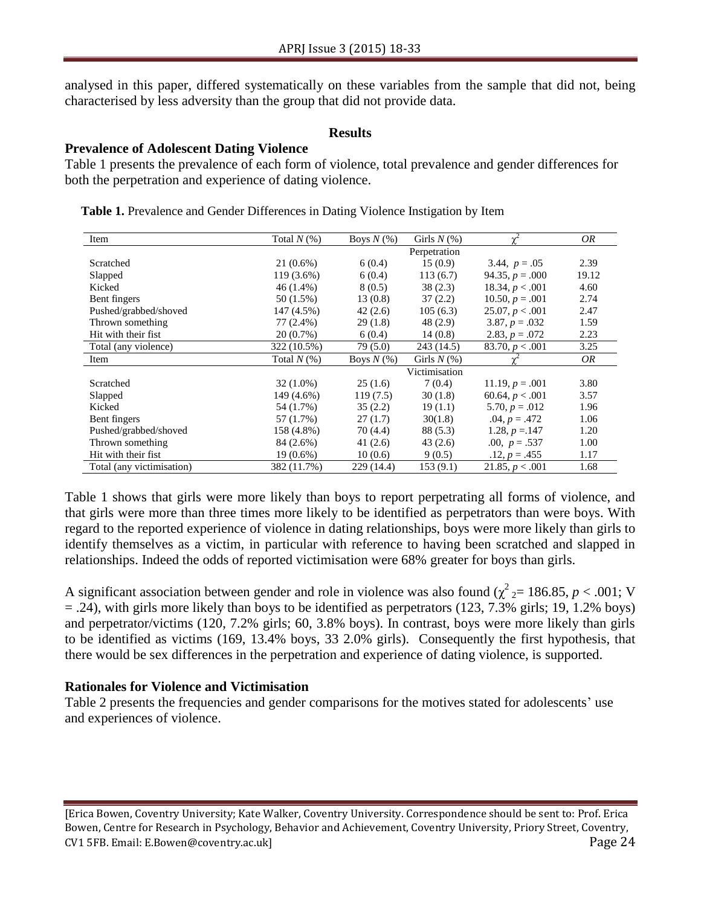analysed in this paper, differed systematically on these variables from the sample that did not, being characterised by less adversity than the group that did not provide data.

#### **Results**

#### **Prevalence of Adolescent Dating Violence**

Table 1 presents the prevalence of each form of violence, total prevalence and gender differences for both the perpetration and experience of dating violence.

| Item                      | Total $N(\%)$ | Boys $N(\%)$ | Girls $N(\%)$ | $\gamma^2$        | OR    |
|---------------------------|---------------|--------------|---------------|-------------------|-------|
|                           |               |              | Perpetration  |                   |       |
| Scratched                 | $21(0.6\%)$   | 6(0.4)       | 15(0.9)       | 3.44, $p = .05$   | 2.39  |
| Slapped                   | 119 (3.6%)    | 6(0.4)       | 113(6.7)      | 94.35, $p = .000$ | 19.12 |
| Kicked                    | 46 (1.4%)     | 8(0.5)       | 38(2.3)       | 18.34, $p < .001$ | 4.60  |
| Bent fingers              | 50 (1.5%)     | 13(0.8)      | 37(2.2)       | 10.50, $p = .001$ | 2.74  |
| Pushed/grabbed/shoved     | 147 (4.5%)    | 42(2.6)      | 105(6.3)      | 25.07, $p < .001$ | 2.47  |
| Thrown something          | 77 (2.4%)     | 29(1.8)      | 48 (2.9)      | $3.87, p = .032$  | 1.59  |
| Hit with their fist       | 20 (0.7%)     | 6(0.4)       | 14(0.8)       | 2.83, $p = .072$  | 2.23  |
| Total (any violence)      | 322 (10.5%)   | 79 (5.0)     | 243 (14.5)    | 83.70, $p < .001$ | 3.25  |
| Item                      | Total $N(\%)$ | Boys $N(\%)$ | Girls $N(\%)$ |                   | OR    |
|                           |               |              | Victimisation |                   |       |
| Scratched                 | 32 (1.0%)     | 25(1.6)      | 7(0.4)        | 11.19, $p = .001$ | 3.80  |
| Slapped                   | 149 (4.6%)    | 119(7.5)     | 30(1.8)       | 60.64, $p < .001$ | 3.57  |
| Kicked                    | 54 (1.7%)     | 35(2.2)      | 19(1.1)       | 5.70, $p = .012$  | 1.96  |
| Bent fingers              | 57 (1.7%)     | 27(1.7)      | 30(1.8)       | $.04, p = .472$   | 1.06  |
| Pushed/grabbed/shoved     | 158 (4.8%)    | 70 (4.4)     | 88 (5.3)      | 1.28, $p = 147$   | 1.20  |
| Thrown something          | 84 (2.6%)     | 41(2.6)      | 43(2.6)       | .00, $p = .537$   | 1.00  |
| Hit with their fist       | 19 (0.6%)     | 10(0.6)      | 9(0.5)        | $.12, p = .455$   | 1.17  |
| Total (any victimisation) | 382 (11.7%)   | 229 (14.4)   | 153(9.1)      | 21.85, $p < .001$ | 1.68  |

**Table 1.** Prevalence and Gender Differences in Dating Violence Instigation by Item

Table 1 shows that girls were more likely than boys to report perpetrating all forms of violence, and that girls were more than three times more likely to be identified as perpetrators than were boys. With regard to the reported experience of violence in dating relationships, boys were more likely than girls to identify themselves as a victim, in particular with reference to having been scratched and slapped in relationships. Indeed the odds of reported victimisation were 68% greater for boys than girls.

A significant association between gender and role in violence was also found  $(\chi^2_{2} = 186.85, p < .001; V)$  $=$  .24), with girls more likely than boys to be identified as perpetrators (123, 7.3% girls; 19, 1.2% boys) and perpetrator/victims (120, 7.2% girls; 60, 3.8% boys). In contrast, boys were more likely than girls to be identified as victims (169, 13.4% boys, 33 2.0% girls). Consequently the first hypothesis, that there would be sex differences in the perpetration and experience of dating violence, is supported.

#### **Rationales for Violence and Victimisation**

Table 2 presents the frequencies and gender comparisons for the motives stated for adolescents' use and experiences of violence.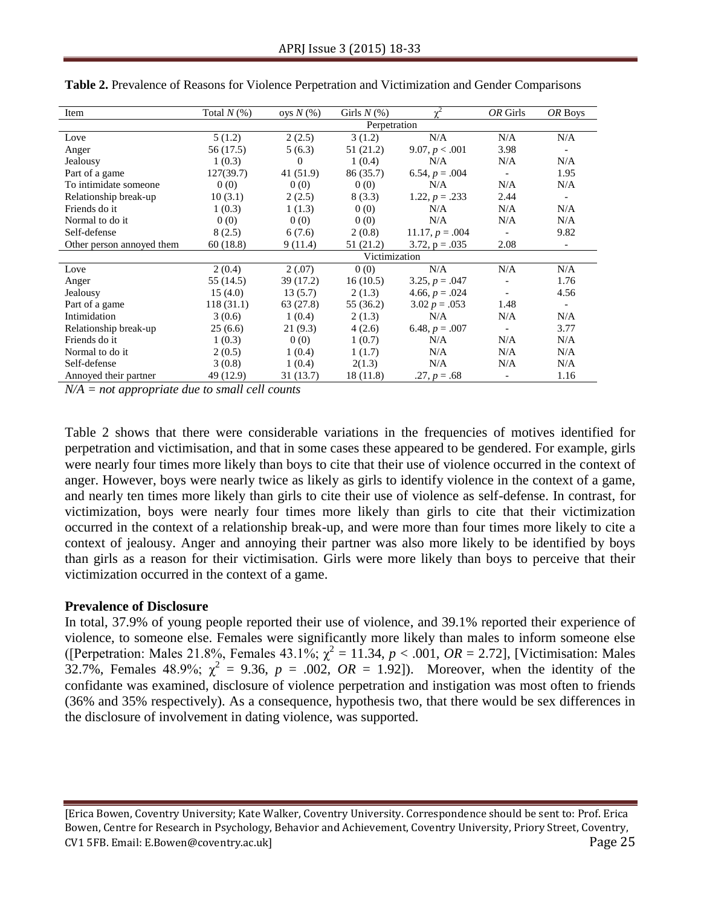| Item                      | Total $N(\%)$ | oys $N(\%)$ | Girls $N(\%)$ | $\mathbf{v}^2$      | OR Girls                 | OR Boys                  |  |
|---------------------------|---------------|-------------|---------------|---------------------|--------------------------|--------------------------|--|
|                           | Perpetration  |             |               |                     |                          |                          |  |
| Love                      | 5(1.2)        | 2(2.5)      | 3(1.2)        | N/A                 | N/A                      | N/A                      |  |
| Anger                     | 56 (17.5)     | 5(6.3)      | 51 (21.2)     | 9.07, $p < .001$    | 3.98                     | $\overline{\phantom{a}}$ |  |
| Jealousy                  | 1(0.3)        | $\Omega$    | 1(0.4)        | N/A                 | N/A                      | N/A                      |  |
| Part of a game            | 127(39.7)     | 41 (51.9)   | 86 (35.7)     | 6.54, $p = .004$    | $\overline{\phantom{a}}$ | 1.95                     |  |
| To intimidate someone     | 0(0)          | 0(0)        | 0(0)          | N/A                 | N/A                      | N/A                      |  |
| Relationship break-up     | 10(3.1)       | 2(2.5)      | 8(3.3)        | 1.22, $p = .233$    | 2.44                     | $\blacksquare$           |  |
| Friends do it             | 1(0.3)        | 1(1.3)      | 0(0)          | N/A                 | N/A                      | N/A                      |  |
| Normal to do it           | 0(0)          | 0(0)        | 0(0)          | N/A                 | N/A                      | N/A                      |  |
| Self-defense              | 8(2.5)        | 6(7.6)      | 2(0.8)        | $11.17, p = .004$   | $\overline{\phantom{a}}$ | 9.82                     |  |
| Other person annoyed them | 60(18.8)      | 9(11.4)     | 51 (21.2)     | $3.72$ , $p = .035$ | 2.08                     | $\blacksquare$           |  |
|                           | Victimization |             |               |                     |                          |                          |  |
| Love                      | 2(0.4)        | 2(.07)      | 0(0)          | N/A                 | N/A                      | N/A                      |  |
| Anger                     | 55 (14.5)     | 39(17.2)    | 16(10.5)      | $3.25, p = .047$    | $\overline{\phantom{a}}$ | 1.76                     |  |
| Jealousy                  | 15(4.0)       | 13(5.7)     | 2(1.3)        | 4.66, $p = .024$    |                          | 4.56                     |  |
| Part of a game            | 118(31.1)     | 63 (27.8)   | 55 (36.2)     | 3.02 $p = .053$     | 1.48                     | $\overline{\phantom{a}}$ |  |
| Intimidation              | 3(0.6)        | 1(0.4)      | 2(1.3)        | N/A                 | N/A                      | N/A                      |  |
| Relationship break-up     | 25(6.6)       | 21(9.3)     | 4(2.6)        | 6.48, $p = .007$    | $\overline{\phantom{a}}$ | 3.77                     |  |
| Friends do it             | 1(0.3)        | 0(0)        | 1(0.7)        | N/A                 | N/A                      | N/A                      |  |
| Normal to do it           | 2(0.5)        | 1(0.4)      | 1(1.7)        | N/A                 | N/A                      | N/A                      |  |
| Self-defense              | 3(0.8)        | 1(0.4)      | 2(1.3)        | N/A                 | N/A                      | N/A                      |  |
| Annoyed their partner     | 49 (12.9)     | 31(13.7)    | 18(11.8)      | $.27, p = .68$      |                          | 1.16                     |  |

**Table 2.** Prevalence of Reasons for Violence Perpetration and Victimization and Gender Comparisons

*N/A = not appropriate due to small cell counts*

Table 2 shows that there were considerable variations in the frequencies of motives identified for perpetration and victimisation, and that in some cases these appeared to be gendered. For example, girls were nearly four times more likely than boys to cite that their use of violence occurred in the context of anger. However, boys were nearly twice as likely as girls to identify violence in the context of a game, and nearly ten times more likely than girls to cite their use of violence as self-defense. In contrast, for victimization, boys were nearly four times more likely than girls to cite that their victimization occurred in the context of a relationship break-up, and were more than four times more likely to cite a context of jealousy. Anger and annoying their partner was also more likely to be identified by boys than girls as a reason for their victimisation. Girls were more likely than boys to perceive that their victimization occurred in the context of a game.

#### **Prevalence of Disclosure**

In total, 37.9% of young people reported their use of violence, and 39.1% reported their experience of violence, to someone else. Females were significantly more likely than males to inform someone else ([Perpetration: Males 21.8%, Females 43.1%;  $\chi^2 = 11.34$ ,  $p < .001$ ,  $OR = 2.72$ ], [Victimisation: Males 32.7%, Females 48.9%;  $\chi^2 = 9.36$ ,  $p = .002$ ,  $OR = 1.92$ ]). Moreover, when the identity of the confidante was examined, disclosure of violence perpetration and instigation was most often to friends (36% and 35% respectively). As a consequence, hypothesis two, that there would be sex differences in the disclosure of involvement in dating violence, was supported.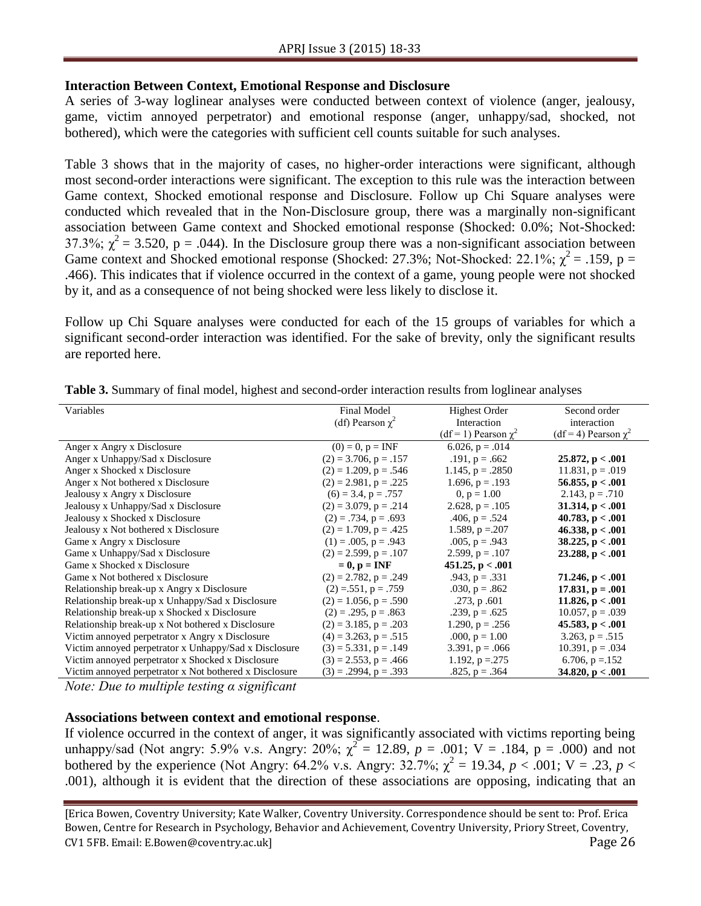# **Interaction Between Context, Emotional Response and Disclosure**

A series of 3-way loglinear analyses were conducted between context of violence (anger, jealousy, game, victim annoyed perpetrator) and emotional response (anger, unhappy/sad, shocked, not bothered), which were the categories with sufficient cell counts suitable for such analyses.

Table 3 shows that in the majority of cases, no higher-order interactions were significant, although most second-order interactions were significant. The exception to this rule was the interaction between Game context, Shocked emotional response and Disclosure. Follow up Chi Square analyses were conducted which revealed that in the Non-Disclosure group, there was a marginally non-significant association between Game context and Shocked emotional response (Shocked: 0.0%; Not-Shocked: 37.3%;  $\chi^2$  = 3.520, p = .044). In the Disclosure group there was a non-significant association between Game context and Shocked emotional response (Shocked: 27.3%; Not-Shocked: 22.1%;  $\chi^2$  = .159, p = .466). This indicates that if violence occurred in the context of a game, young people were not shocked by it, and as a consequence of not being shocked were less likely to disclose it.

Follow up Chi Square analyses were conducted for each of the 15 groups of variables for which a significant second-order interaction was identified. For the sake of brevity, only the significant results are reported here.

| Variables                                              | <b>Final Model</b>         | <b>Highest Order</b>          | Second order                |
|--------------------------------------------------------|----------------------------|-------------------------------|-----------------------------|
|                                                        | (df) Pearson $\chi^2$      | Interaction                   | interaction                 |
|                                                        |                            | $(df = 1)$ Pearson $\gamma^2$ | $(df=4)$ Pearson $\gamma^2$ |
| Anger x Angry x Disclosure                             | $(0) = 0, p = INF$         | 6.026, $p = .014$             |                             |
| Anger x Unhappy/Sad x Disclosure                       | $(2) = 3.706$ , $p = .157$ | $.191, p = .662$              | 25.872, p < .001            |
| Anger x Shocked x Disclosure                           | $(2) = 1.209$ , $p = .546$ | 1.145, $p = .2850$            | $11.831$ , $p = .019$       |
| Anger x Not bothered x Disclosure                      | $(2) = 2.981$ , $p = .225$ | 1.696, $p = .193$             | 56.855, $p < .001$          |
| Jealousy x Angry x Disclosure                          | $(6) = 3.4, p = .757$      | 0, $p = 1.00$                 | 2.143, $p = .710$           |
| Jealousy x Unhappy/Sad x Disclosure                    | $(2) = 3.079$ , $p = .214$ | 2.628, $p = .105$             | 31.314, $p < .001$          |
| Jealousy x Shocked x Disclosure                        | $(2) = .734$ , $p = .693$  | $.406, p = .524$              | 40.783, $p < .001$          |
| Jealousy x Not bothered x Disclosure                   | $(2) = 1.709$ , $p = .425$ | 1.589, $p = 207$              | 46.338, $p < .001$          |
| Game x Angry x Disclosure                              | $(1) = .005$ , $p = .943$  | $.005, p = .943$              | 38.225, $p < .001$          |
| Game x Unhappy/Sad x Disclosure                        | $(2) = 2.599$ , $p = .107$ | 2.599, $p = .107$             | 23.288, $p < .001$          |
| Game x Shocked x Disclosure                            | $= 0, p = INF$             | 451.25, $p < .001$            |                             |
| Game x Not bothered x Disclosure                       | $(2) = 2.782$ , $p = .249$ | $.943, p = .331$              | 71.246, $p < .001$          |
| Relationship break-up x Angry x Disclosure             | $(2) = 551$ , p = .759     | $.030, p = .862$              | $17.831$ , p = .001         |
| Relationship break-up x Unhappy/Sad x Disclosure       | $(2) = 1.056$ , $p = .590$ | $.273$ , p $.601$             | 11.826, $p < .001$          |
| Relationship break-up x Shocked x Disclosure           | $(2) = .295$ , $p = .863$  | .239, $p = .625$              | 10.057, $p = .039$          |
| Relationship break-up x Not bothered x Disclosure      | $(2) = 3.185$ , $p = .203$ | 1.290, $p = .256$             | 45.583, $p < .001$          |
| Victim annoyed perpetrator x Angry x Disclosure        | $(4) = 3.263$ , $p = .515$ | $.000, p = 1.00$              | $3.263$ , $p = .515$        |
| Victim annoyed perpetrator x Unhappy/Sad x Disclosure  | $(3) = 5.331$ , $p = .149$ | $3.391$ , $p = .066$          | 10.391, $p = .034$          |
| Victim annoyed perpetrator x Shocked x Disclosure      | $(3) = 2.553$ , $p = .466$ | 1.192, $p = 275$              | 6.706, $p = 152$            |
| Victim annoyed perpetrator x Not bothered x Disclosure | $(3) = .2994$ , $p = .393$ | $.825, p = .364$              | 34.820, $p < .001$          |

**Table 3.** Summary of final model, highest and second-order interaction results from loglinear analyses

*Note: Due to multiple testing α significant*

#### **Associations between context and emotional response**.

If violence occurred in the context of anger, it was significantly associated with victims reporting being unhappy/sad (Not angry: 5.9% v.s. Angry: 20%;  $\chi^2 = 12.89$ ,  $p = .001$ ; V = .184, p = .000) and not bothered by the experience (Not Angry: 64.2% v.s. Angry: 32.7%;  $\chi^2 = 19.34$ ,  $p < .001$ ; V = .23, p < .001), although it is evident that the direction of these associations are opposing, indicating that an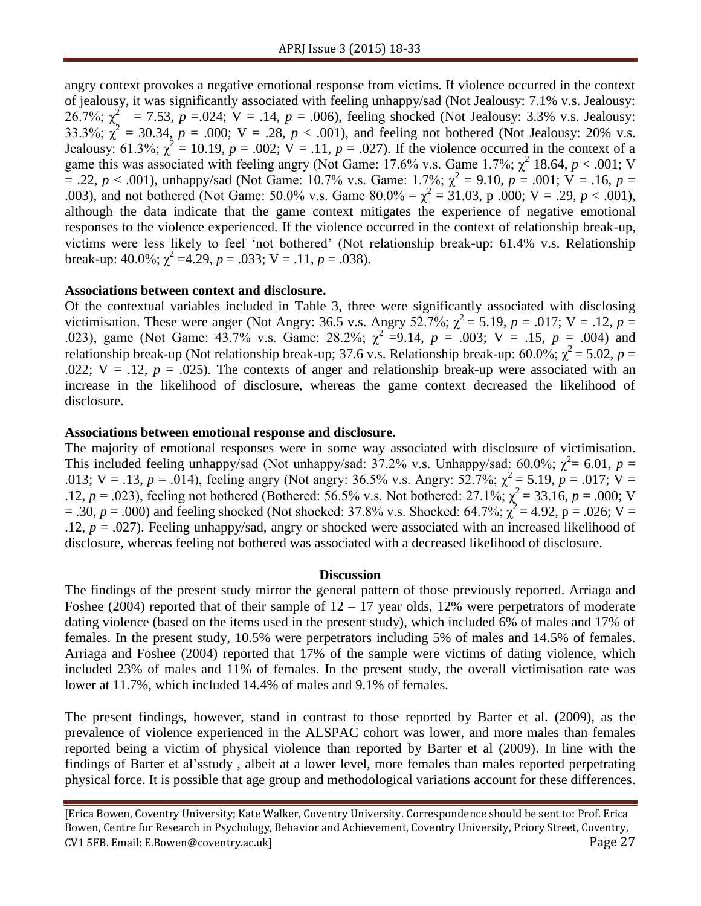angry context provokes a negative emotional response from victims. If violence occurred in the context of jealousy, it was significantly associated with feeling unhappy/sad (Not Jealousy: 7.1% v.s. Jealousy: 26.7%;  $\chi^2$  = 7.53,  $p = 0.024$ ; V = .14,  $p = .006$ ), feeling shocked (Not Jealousy: 3.3% v.s. Jealousy: 33.3%;  $\chi^2 = 30.34$ ,  $p = .000$ ; V = .28,  $p < .001$ ), and feeling not bothered (Not Jealousy: 20% v.s. Jealousy: 61.3%;  $\chi^2 = 10.19$ ,  $p = .002$ ;  $V = .11$ ,  $p = .027$ ). If the violence occurred in the context of a game this was associated with feeling angry (Not Game: 17.6% v.s. Game 1.7%;  $\chi^2$  18.64,  $p < .001$ ; V  $= .22, p < .001$ ), unhappy/sad (Not Game: 10.7% v.s. Game: 1.7%;  $\chi^2 = 9.10, p = .001$ ;  $\overline{V} = .16, p = .001$ .003), and not bothered (Not Game: 50.0% v.s. Game  $80.0\% = \chi^2 = 31.03$ , p .000; V = .29, p < .001), although the data indicate that the game context mitigates the experience of negative emotional responses to the violence experienced. If the violence occurred in the context of relationship break-up, victims were less likely to feel 'not bothered' (Not relationship break-up: 61.4% v.s. Relationship break-up:  $40.0\%$ ;  $\chi^2 = 4.29$ ,  $p = .033$ ;  $V = .11$ ,  $p = .038$ ).

#### **Associations between context and disclosure.**

Of the contextual variables included in Table 3, three were significantly associated with disclosing victimisation. These were anger (Not Angry: 36.5 v.s. Angry 52.7%;  $\chi^2 = 5.19$ ,  $p = .017$ ; V = .12,  $p =$ .023), game (Not Game: 43.7% v.s. Game: 28.2%;  $\chi^2$  =9.14,  $p = .003$ ; V = .15,  $p = .004$ ) and relationship break-up (Not relationship break-up; 37.6 v.s. Relationship break-up: 60.0%;  $\chi^2 = 5.02$ ,  $p =$ .022;  $V = .12$ ,  $p = .025$ ). The contexts of anger and relationship break-up were associated with an increase in the likelihood of disclosure, whereas the game context decreased the likelihood of disclosure.

# **Associations between emotional response and disclosure.**

The majority of emotional responses were in some way associated with disclosure of victimisation. This included feeling unhappy/sad (Not unhappy/sad:  $37.2\%$  v.s. Unhappy/sad:  $60.0\%$ ;  $\chi^2 = 6.01$ ,  $p =$ .013; V = .13,  $p = .014$ ), feeling angry (Not angry: 36.5% v.s. Angry: 52.7%;  $\chi^2 = 5.19$ ,  $p = .017$ ; V = .12,  $p = .023$ ), feeling not bothered (Bothered: 56.5% v.s. Not bothered: 27.1%;  $\chi^2 = 33.16$ ,  $p = .000$ ; V  $= .30, p = .000$ ) and feeling shocked (Not shocked: 37.8% v.s. Shocked: 64.7%;  $\chi^2 = 4.92$ , p = .026; V = .12, *p* = .027). Feeling unhappy/sad, angry or shocked were associated with an increased likelihood of disclosure, whereas feeling not bothered was associated with a decreased likelihood of disclosure.

#### **Discussion**

The findings of the present study mirror the general pattern of those previously reported. Arriaga and Foshee (2004) reported that of their sample of  $12 - 17$  year olds, 12% were perpetrators of moderate dating violence (based on the items used in the present study), which included 6% of males and 17% of females. In the present study, 10.5% were perpetrators including 5% of males and 14.5% of females. Arriaga and Foshee (2004) reported that 17% of the sample were victims of dating violence, which included 23% of males and 11% of females. In the present study, the overall victimisation rate was lower at 11.7%, which included 14.4% of males and 9.1% of females.

The present findings, however, stand in contrast to those reported by Barter et al. (2009), as the prevalence of violence experienced in the ALSPAC cohort was lower, and more males than females reported being a victim of physical violence than reported by Barter et al (2009). In line with the findings of Barter et al'sstudy , albeit at a lower level, more females than males reported perpetrating physical force. It is possible that age group and methodological variations account for these differences.

<sup>[</sup>Erica Bowen, Coventry University; Kate Walker, Coventry University. Correspondence should be sent to: Prof. Erica Bowen, Centre for Research in Psychology, Behavior and Achievement, Coventry University, Priory Street, Coventry, CV1 5FB. Email: E.Bowen@coventry.ac.uk] Page 27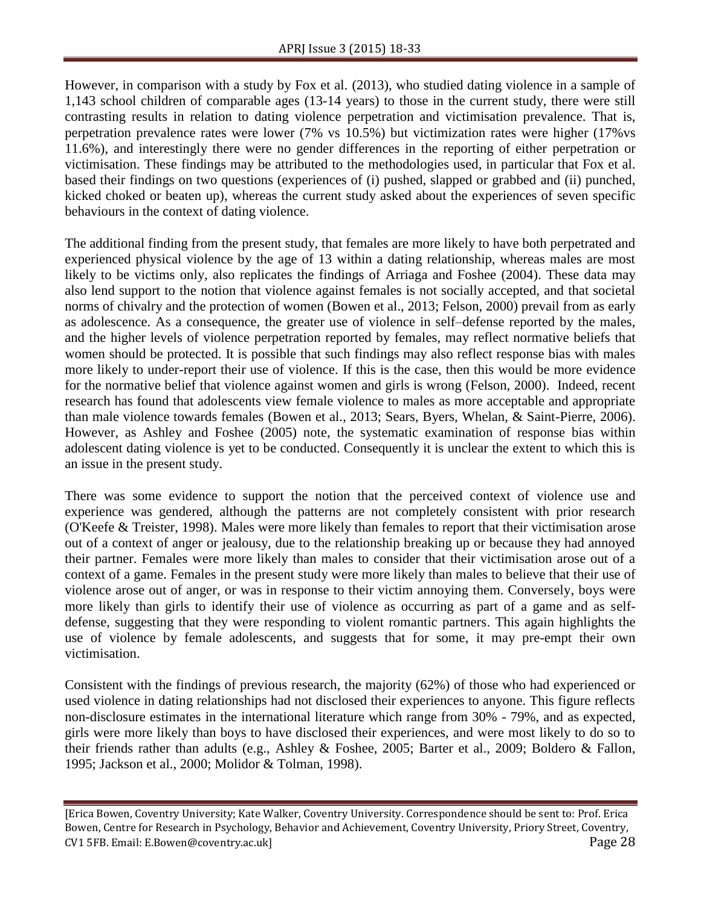However, in comparison with a study by Fox et al. (2013), who studied dating violence in a sample of 1,143 school children of comparable ages (13-14 years) to those in the current study, there were still contrasting results in relation to dating violence perpetration and victimisation prevalence. That is, perpetration prevalence rates were lower (7% vs 10.5%) but victimization rates were higher (17%vs 11.6%), and interestingly there were no gender differences in the reporting of either perpetration or victimisation. These findings may be attributed to the methodologies used, in particular that Fox et al. based their findings on two questions (experiences of (i) pushed, slapped or grabbed and (ii) punched, kicked choked or beaten up), whereas the current study asked about the experiences of seven specific behaviours in the context of dating violence.

The additional finding from the present study, that females are more likely to have both perpetrated and experienced physical violence by the age of 13 within a dating relationship, whereas males are most likely to be victims only, also replicates the findings of Arriaga and Foshee (2004). These data may also lend support to the notion that violence against females is not socially accepted, and that societal norms of chivalry and the protection of women (Bowen et al., 2013; Felson, 2000) prevail from as early as adolescence. As a consequence, the greater use of violence in self–defense reported by the males, and the higher levels of violence perpetration reported by females, may reflect normative beliefs that women should be protected. It is possible that such findings may also reflect response bias with males more likely to under-report their use of violence. If this is the case, then this would be more evidence for the normative belief that violence against women and girls is wrong (Felson, 2000). Indeed, recent research has found that adolescents view female violence to males as more acceptable and appropriate than male violence towards females (Bowen et al., 2013; Sears, Byers, Whelan, & Saint-Pierre, 2006). However, as Ashley and Foshee (2005) note, the systematic examination of response bias within adolescent dating violence is yet to be conducted. Consequently it is unclear the extent to which this is an issue in the present study.

There was some evidence to support the notion that the perceived context of violence use and experience was gendered, although the patterns are not completely consistent with prior research (O'Keefe & Treister, 1998). Males were more likely than females to report that their victimisation arose out of a context of anger or jealousy, due to the relationship breaking up or because they had annoyed their partner. Females were more likely than males to consider that their victimisation arose out of a context of a game. Females in the present study were more likely than males to believe that their use of violence arose out of anger, or was in response to their victim annoying them. Conversely, boys were more likely than girls to identify their use of violence as occurring as part of a game and as selfdefense, suggesting that they were responding to violent romantic partners. This again highlights the use of violence by female adolescents, and suggests that for some, it may pre-empt their own victimisation.

Consistent with the findings of previous research, the majority (62%) of those who had experienced or used violence in dating relationships had not disclosed their experiences to anyone. This figure reflects non-disclosure estimates in the international literature which range from 30% - 79%, and as expected, girls were more likely than boys to have disclosed their experiences, and were most likely to do so to their friends rather than adults (e.g., Ashley & Foshee, 2005; Barter et al., 2009; Boldero & Fallon, 1995; Jackson et al., 2000; Molidor & Tolman, 1998).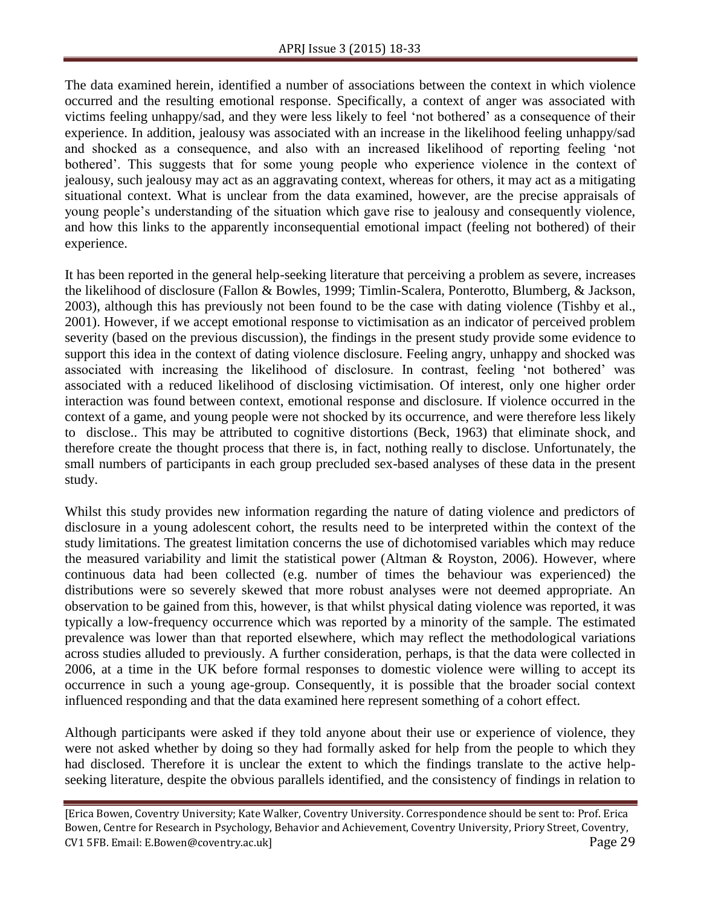The data examined herein, identified a number of associations between the context in which violence occurred and the resulting emotional response. Specifically, a context of anger was associated with victims feeling unhappy/sad, and they were less likely to feel 'not bothered' as a consequence of their experience. In addition, jealousy was associated with an increase in the likelihood feeling unhappy/sad and shocked as a consequence, and also with an increased likelihood of reporting feeling 'not bothered'. This suggests that for some young people who experience violence in the context of jealousy, such jealousy may act as an aggravating context, whereas for others, it may act as a mitigating situational context. What is unclear from the data examined, however, are the precise appraisals of young people's understanding of the situation which gave rise to jealousy and consequently violence, and how this links to the apparently inconsequential emotional impact (feeling not bothered) of their experience.

It has been reported in the general help-seeking literature that perceiving a problem as severe, increases the likelihood of disclosure (Fallon & Bowles, 1999; Timlin-Scalera, Ponterotto, Blumberg, & Jackson, 2003), although this has previously not been found to be the case with dating violence (Tishby et al., 2001). However, if we accept emotional response to victimisation as an indicator of perceived problem severity (based on the previous discussion), the findings in the present study provide some evidence to support this idea in the context of dating violence disclosure. Feeling angry, unhappy and shocked was associated with increasing the likelihood of disclosure. In contrast, feeling 'not bothered' was associated with a reduced likelihood of disclosing victimisation. Of interest, only one higher order interaction was found between context, emotional response and disclosure. If violence occurred in the context of a game, and young people were not shocked by its occurrence, and were therefore less likely to disclose.. This may be attributed to cognitive distortions (Beck, 1963) that eliminate shock, and therefore create the thought process that there is, in fact, nothing really to disclose. Unfortunately, the small numbers of participants in each group precluded sex-based analyses of these data in the present study.

Whilst this study provides new information regarding the nature of dating violence and predictors of disclosure in a young adolescent cohort, the results need to be interpreted within the context of the study limitations. The greatest limitation concerns the use of dichotomised variables which may reduce the measured variability and limit the statistical power (Altman  $\&$  Royston, 2006). However, where continuous data had been collected (e.g. number of times the behaviour was experienced) the distributions were so severely skewed that more robust analyses were not deemed appropriate. An observation to be gained from this, however, is that whilst physical dating violence was reported, it was typically a low-frequency occurrence which was reported by a minority of the sample. The estimated prevalence was lower than that reported elsewhere, which may reflect the methodological variations across studies alluded to previously. A further consideration, perhaps, is that the data were collected in 2006, at a time in the UK before formal responses to domestic violence were willing to accept its occurrence in such a young age-group. Consequently, it is possible that the broader social context influenced responding and that the data examined here represent something of a cohort effect.

Although participants were asked if they told anyone about their use or experience of violence, they were not asked whether by doing so they had formally asked for help from the people to which they had disclosed. Therefore it is unclear the extent to which the findings translate to the active helpseeking literature, despite the obvious parallels identified, and the consistency of findings in relation to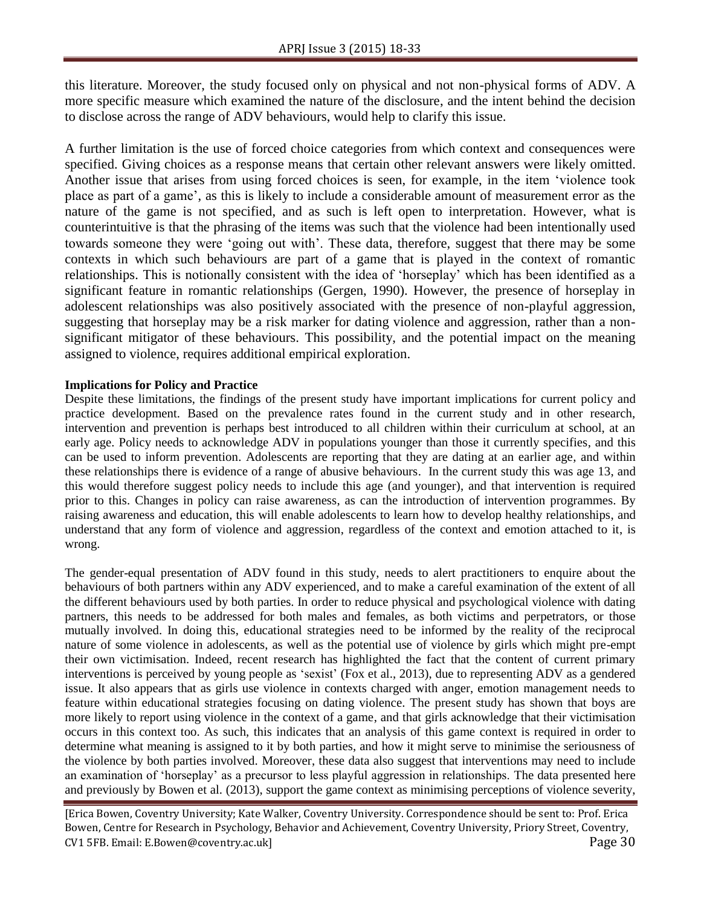this literature. Moreover, the study focused only on physical and not non-physical forms of ADV. A more specific measure which examined the nature of the disclosure, and the intent behind the decision to disclose across the range of ADV behaviours, would help to clarify this issue.

A further limitation is the use of forced choice categories from which context and consequences were specified. Giving choices as a response means that certain other relevant answers were likely omitted. Another issue that arises from using forced choices is seen, for example, in the item 'violence took place as part of a game', as this is likely to include a considerable amount of measurement error as the nature of the game is not specified, and as such is left open to interpretation. However, what is counterintuitive is that the phrasing of the items was such that the violence had been intentionally used towards someone they were 'going out with'. These data, therefore, suggest that there may be some contexts in which such behaviours are part of a game that is played in the context of romantic relationships. This is notionally consistent with the idea of 'horseplay' which has been identified as a significant feature in romantic relationships (Gergen, 1990). However, the presence of horseplay in adolescent relationships was also positively associated with the presence of non-playful aggression, suggesting that horseplay may be a risk marker for dating violence and aggression, rather than a nonsignificant mitigator of these behaviours. This possibility, and the potential impact on the meaning assigned to violence, requires additional empirical exploration.

#### **Implications for Policy and Practice**

Despite these limitations, the findings of the present study have important implications for current policy and practice development. Based on the prevalence rates found in the current study and in other research, intervention and prevention is perhaps best introduced to all children within their curriculum at school, at an early age. Policy needs to acknowledge ADV in populations younger than those it currently specifies, and this can be used to inform prevention. Adolescents are reporting that they are dating at an earlier age, and within these relationships there is evidence of a range of abusive behaviours. In the current study this was age 13, and this would therefore suggest policy needs to include this age (and younger), and that intervention is required prior to this. Changes in policy can raise awareness, as can the introduction of intervention programmes. By raising awareness and education, this will enable adolescents to learn how to develop healthy relationships, and understand that any form of violence and aggression, regardless of the context and emotion attached to it, is wrong.

The gender-equal presentation of ADV found in this study, needs to alert practitioners to enquire about the behaviours of both partners within any ADV experienced, and to make a careful examination of the extent of all the different behaviours used by both parties. In order to reduce physical and psychological violence with dating partners, this needs to be addressed for both males and females, as both victims and perpetrators, or those mutually involved. In doing this, educational strategies need to be informed by the reality of the reciprocal nature of some violence in adolescents, as well as the potential use of violence by girls which might pre-empt their own victimisation. Indeed, recent research has highlighted the fact that the content of current primary interventions is perceived by young people as 'sexist' (Fox et al., 2013), due to representing ADV as a gendered issue. It also appears that as girls use violence in contexts charged with anger, emotion management needs to feature within educational strategies focusing on dating violence. The present study has shown that boys are more likely to report using violence in the context of a game, and that girls acknowledge that their victimisation occurs in this context too. As such, this indicates that an analysis of this game context is required in order to determine what meaning is assigned to it by both parties, and how it might serve to minimise the seriousness of the violence by both parties involved. Moreover, these data also suggest that interventions may need to include an examination of 'horseplay' as a precursor to less playful aggression in relationships. The data presented here and previously by Bowen et al. (2013), support the game context as minimising perceptions of violence severity,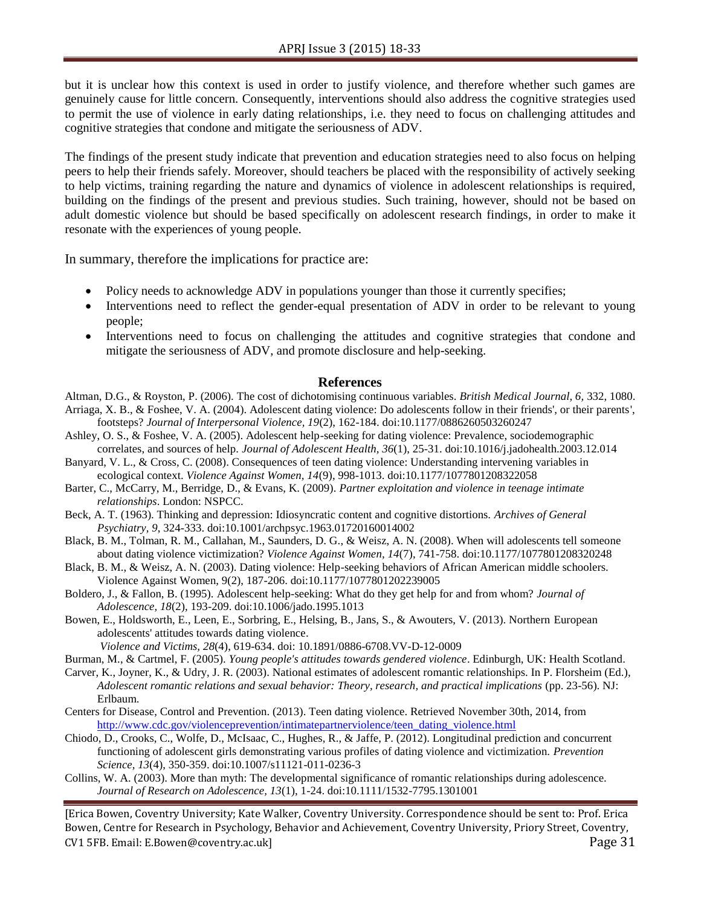but it is unclear how this context is used in order to justify violence, and therefore whether such games are genuinely cause for little concern. Consequently, interventions should also address the cognitive strategies used to permit the use of violence in early dating relationships, i.e. they need to focus on challenging attitudes and cognitive strategies that condone and mitigate the seriousness of ADV.

The findings of the present study indicate that prevention and education strategies need to also focus on helping peers to help their friends safely. Moreover, should teachers be placed with the responsibility of actively seeking to help victims, training regarding the nature and dynamics of violence in adolescent relationships is required, building on the findings of the present and previous studies. Such training, however, should not be based on adult domestic violence but should be based specifically on adolescent research findings, in order to make it resonate with the experiences of young people.

In summary, therefore the implications for practice are:

- Policy needs to acknowledge ADV in populations younger than those it currently specifies;
- Interventions need to reflect the gender-equal presentation of ADV in order to be relevant to young people;
- Interventions need to focus on challenging the attitudes and cognitive strategies that condone and mitigate the seriousness of ADV, and promote disclosure and help-seeking.

#### **References**

Altman, D.G., & Royston, P. (2006). The cost of dichotomising continuous variables. *British Medical Journal, 6,* 332, 1080. Arriaga, X. B., & Foshee, V. A. (2004). Adolescent dating violence: Do adolescents follow in their friends', or their parents',

- footsteps? *Journal of Interpersonal Violence, 19*(2), 162-184. doi:10.1177/0886260503260247
- Ashley, O. S., & Foshee, V. A. (2005). Adolescent help-seeking for dating violence: Prevalence, sociodemographic correlates, and sources of help. *Journal of Adolescent Health, 36*(1), 25-31. doi:10.1016/j.jadohealth.2003.12.014
- Banyard, V. L., & Cross, C. (2008). Consequences of teen dating violence: Understanding intervening variables in ecological context. *Violence Against Women, 14*(9), 998-1013. doi:10.1177/1077801208322058
- Barter, C., McCarry, M., Berridge, D., & Evans, K. (2009). *Partner exploitation and violence in teenage intimate relationships*. London: NSPCC.
- Beck, A. T. (1963). Thinking and depression: Idiosyncratic content and cognitive distortions. *Archives of General Psychiatry, 9*, 324-333. doi:10.1001/archpsyc.1963.01720160014002
- Black, B. M., Tolman, R. M., Callahan, M., Saunders, D. G., & Weisz, A. N. (2008). When will adolescents tell someone about dating violence victimization? *Violence Against Women, 14*(7), 741-758. doi:10.1177/1077801208320248
- Black, B. M., & Weisz, A. N. (2003). Dating violence: Help-seeking behaviors of African American middle schoolers. Violence Against Women, 9(2), 187-206. doi:10.1177/1077801202239005
- Boldero, J., & Fallon, B. (1995). Adolescent help-seeking: What do they get help for and from whom? *Journal of Adolescence, 18*(2), 193-209. doi:10.1006/jado.1995.1013
- Bowen, E., Holdsworth, E., Leen, E., Sorbring, E., Helsing, B., Jans, S., & Awouters, V. (2013). Northern European adolescents' attitudes towards dating violence.

*Violence and Victims, 28*(4), 619-634. doi: 10.1891/0886-6708.VV-D-12-0009

Burman, M., & Cartmel, F. (2005). *Young people's attitudes towards gendered violence*. Edinburgh, UK: Health Scotland.

- Carver, K., Joyner, K., & Udry, J. R. (2003). National estimates of adolescent romantic relationships. In P. Florsheim (Ed.), *Adolescent romantic relations and sexual behavior: Theory, research, and practical implications* (pp. 23-56). NJ: Erlbaum.
- Centers for Disease, Control and Prevention. (2013). Teen dating violence. Retrieved November 30th, 2014, from [http://www.cdc.gov/violenceprevention/intimatepartnerviolence/teen\\_dating\\_violence.html](http://www.cdc.gov/violenceprevention/intimatepartnerviolence/teen_dating_violence.html)
- Chiodo, D., Crooks, C., Wolfe, D., McIsaac, C., Hughes, R., & Jaffe, P. (2012). Longitudinal prediction and concurrent functioning of adolescent girls demonstrating various profiles of dating violence and victimization. *Prevention Science, 13*(4), 350-359. doi:10.1007/s11121-011-0236-3
- Collins, W. A. (2003). More than myth: The developmental significance of romantic relationships during adolescence. *Journal of Research on Adolescence, 13*(1), 1-24. doi:10.1111/1532-7795.1301001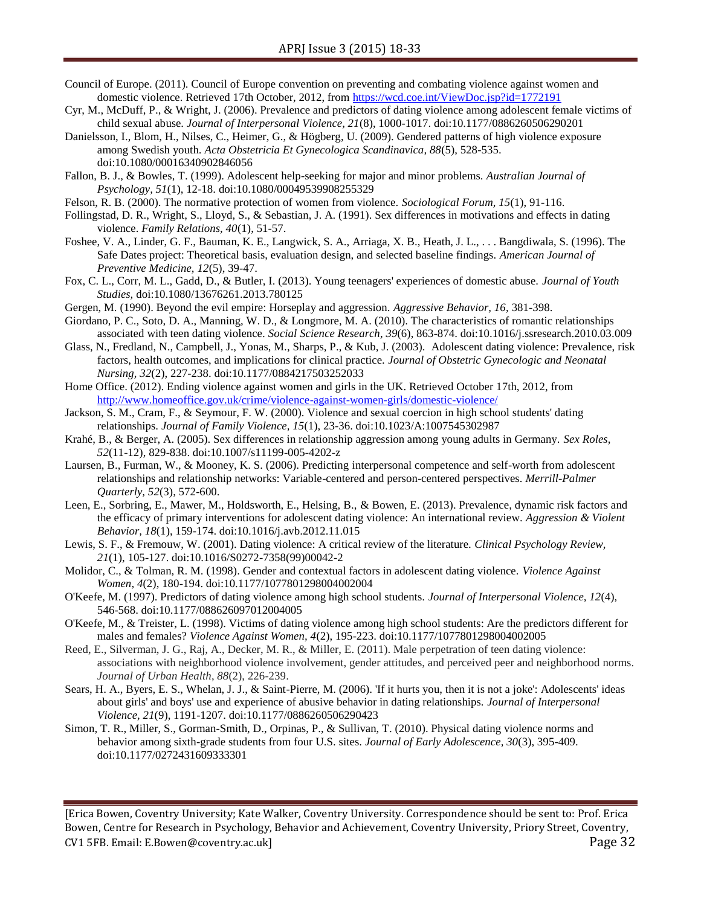- Council of Europe. (2011). Council of Europe convention on preventing and combating violence against women and domestic violence. Retrieved 17th October, 2012, from<https://wcd.coe.int/ViewDoc.jsp?id=1772191>
- Cyr, M., McDuff, P., & Wright, J. (2006). Prevalence and predictors of dating violence among adolescent female victims of child sexual abuse. *Journal of Interpersonal Violence, 21*(8), 1000-1017. doi:10.1177/0886260506290201
- Danielsson, I., Blom, H., Nilses, C., Heimer, G., & Högberg, U. (2009). Gendered patterns of high violence exposure among Swedish youth. *Acta Obstetricia Et Gynecologica Scandinavica, 88*(5), 528-535. doi:10.1080/00016340902846056
- Fallon, B. J., & Bowles, T. (1999). Adolescent help-seeking for major and minor problems. *Australian Journal of Psychology, 51*(1), 12-18. doi:10.1080/00049539908255329
- Felson, R. B. (2000). The normative protection of women from violence. *Sociological Forum, 15*(1), 91-116.
- Follingstad, D. R., Wright, S., Lloyd, S., & Sebastian, J. A. (1991). Sex differences in motivations and effects in dating violence. *Family Relations, 40*(1), 51-57.
- Foshee, V. A., Linder, G. F., Bauman, K. E., Langwick, S. A., Arriaga, X. B., Heath, J. L., . . . Bangdiwala, S. (1996). The Safe Dates project: Theoretical basis, evaluation design, and selected baseline findings. *American Journal of Preventive Medicine, 12*(5), 39-47.
- Fox, C. L., Corr, M. L., Gadd, D., & Butler, I. (2013). Young teenagers' experiences of domestic abuse. *Journal of Youth Studies,* doi:10.1080/13676261.2013.780125
- Gergen, M. (1990). Beyond the evil empire: Horseplay and aggression. *Aggressive Behavior, 16,* 381-398.
- Giordano, P. C., Soto, D. A., Manning, W. D., & Longmore, M. A. (2010). The characteristics of romantic relationships associated with teen dating violence. *Social Science Research, 39*(6), 863-874. doi:10.1016/j.ssresearch.2010.03.009
- Glass, N., Fredland, N., Campbell, J., Yonas, M., Sharps, P., & Kub, J. (2003). Adolescent dating violence: Prevalence, risk factors, health outcomes, and implications for clinical practice. *Journal of Obstetric Gynecologic and Neonatal Nursing, 32*(2), 227-238. doi:10.1177/0884217503252033
- Home Office. (2012). Ending violence against women and girls in the UK. Retrieved October 17th, 2012, from <http://www.homeoffice.gov.uk/crime/violence-against-women-girls/domestic-violence/>
- Jackson, S. M., Cram, F., & Seymour, F. W. (2000). Violence and sexual coercion in high school students' dating relationships. *Journal of Family Violence, 15*(1), 23-36. doi:10.1023/A:1007545302987
- Krahé, B., & Berger, A. (2005). Sex differences in relationship aggression among young adults in Germany. *Sex Roles, 52*(11-12), 829-838. doi:10.1007/s11199-005-4202-z
- Laursen, B., Furman, W., & Mooney, K. S. (2006). Predicting interpersonal competence and self-worth from adolescent relationships and relationship networks: Variable-centered and person-centered perspectives. *Merrill-Palmer Quarterly, 52*(3), 572-600.
- Leen, E., Sorbring, E., Mawer, M., Holdsworth, E., Helsing, B., & Bowen, E. (2013). Prevalence, dynamic risk factors and the efficacy of primary interventions for adolescent dating violence: An international review. *Aggression & Violent Behavior, 18*(1), 159-174. doi:10.1016/j.avb.2012.11.015
- Lewis, S. F., & Fremouw, W. (2001). Dating violence: A critical review of the literature. *Clinical Psychology Review, 21*(1), 105-127. doi:10.1016/S0272-7358(99)00042-2
- Molidor, C., & Tolman, R. M. (1998). Gender and contextual factors in adolescent dating violence. *Violence Against Women, 4*(2), 180-194. doi:10.1177/1077801298004002004
- O'Keefe, M. (1997). Predictors of dating violence among high school students. *Journal of Interpersonal Violence, 12*(4), 546-568. doi:10.1177/088626097012004005
- O'Keefe, M., & Treister, L. (1998). Victims of dating violence among high school students: Are the predictors different for males and females? *Violence Against Women, 4*(2), 195-223. doi:10.1177/1077801298004002005
- Reed, E., Silverman, J. G., Raj, A., Decker, M. R., & Miller, E. (2011). Male perpetration of teen dating violence: associations with neighborhood violence involvement, gender attitudes, and perceived peer and neighborhood norms. *Journal of Urban Health*, *88*(2), 226-239.
- Sears, H. A., Byers, E. S., Whelan, J. J., & Saint-Pierre, M. (2006). 'If it hurts you, then it is not a joke': Adolescents' ideas about girls' and boys' use and experience of abusive behavior in dating relationships. *Journal of Interpersonal Violence, 21*(9), 1191-1207. doi:10.1177/0886260506290423
- Simon, T. R., Miller, S., Gorman-Smith, D., Orpinas, P., & Sullivan, T. (2010). Physical dating violence norms and behavior among sixth-grade students from four U.S. sites. *Journal of Early Adolescence, 30*(3), 395-409. doi:10.1177/0272431609333301